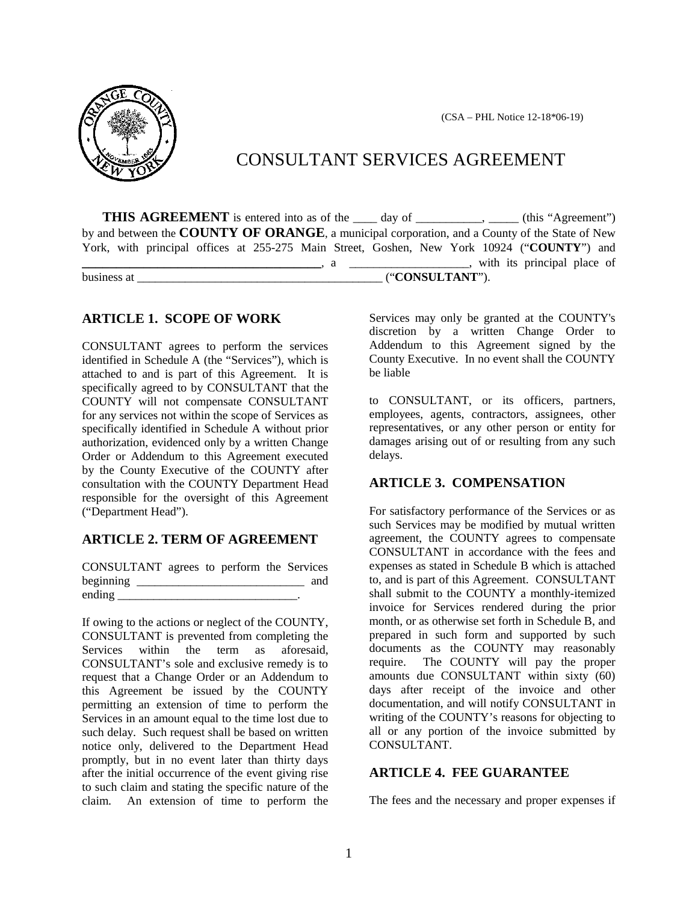(CSA – PHL Notice 12-18\*06-19)



# CONSULTANT SERVICES AGREEMENT

**THIS AGREEMENT** is entered into as of the <u>equal day of equal containing</u> (this "Agreement") by and between the **COUNTY OF ORANGE**, a municipal corporation, and a County of the State of New York, with principal offices at 255-275 Main Street, Goshen, New York 10924 ("**COUNTY**") and **Example 2**, a \_\_\_\_\_\_\_\_\_\_, a \_\_\_\_\_\_\_\_\_\_\_\_\_\_, with its principal place of

business at \_\_\_\_\_\_\_\_\_\_\_\_\_\_\_\_\_\_\_\_\_\_\_\_\_\_\_\_\_\_\_\_\_\_\_\_\_\_\_\_\_ ("**CONSULTANT**").

#### **ARTICLE 1. SCOPE OF WORK**

CONSULTANT agrees to perform the services identified in Schedule A (the "Services"), which is attached to and is part of this Agreement. It is specifically agreed to by CONSULTANT that the COUNTY will not compensate CONSULTANT for any services not within the scope of Services as specifically identified in Schedule A without prior authorization, evidenced only by a written Change Order or Addendum to this Agreement executed by the County Executive of the COUNTY after consultation with the COUNTY Department Head responsible for the oversight of this Agreement ("Department Head").

# **ARTICLE 2. TERM OF AGREEMENT**

CONSULTANT agrees to perform the Services beginning \_\_\_\_\_\_\_\_\_\_\_\_\_\_\_\_\_\_\_\_\_\_\_\_\_\_\_\_ and ending  $\blacksquare$ 

If owing to the actions or neglect of the COUNTY, CONSULTANT is prevented from completing the Services within the term as aforesaid, CONSULTANT's sole and exclusive remedy is to request that a Change Order or an Addendum to this Agreement be issued by the COUNTY permitting an extension of time to perform the Services in an amount equal to the time lost due to such delay. Such request shall be based on written notice only, delivered to the Department Head promptly, but in no event later than thirty days after the initial occurrence of the event giving rise to such claim and stating the specific nature of the claim. An extension of time to perform the

Services may only be granted at the COUNTY's discretion by a written Change Order to Addendum to this Agreement signed by the County Executive. In no event shall the COUNTY be liable

to CONSULTANT, or its officers, partners, employees, agents, contractors, assignees, other representatives, or any other person or entity for damages arising out of or resulting from any such delays.

# **ARTICLE 3. COMPENSATION**

For satisfactory performance of the Services or as such Services may be modified by mutual written agreement, the COUNTY agrees to compensate CONSULTANT in accordance with the fees and expenses as stated in Schedule B which is attached to, and is part of this Agreement. CONSULTANT shall submit to the COUNTY a monthly-itemized invoice for Services rendered during the prior month, or as otherwise set forth in Schedule B, and prepared in such form and supported by such documents as the COUNTY may reasonably require. The COUNTY will pay the proper amounts due CONSULTANT within sixty (60) days after receipt of the invoice and other documentation, and will notify CONSULTANT in writing of the COUNTY's reasons for objecting to all or any portion of the invoice submitted by CONSULTANT.

# **ARTICLE 4. FEE GUARANTEE**

The fees and the necessary and proper expenses if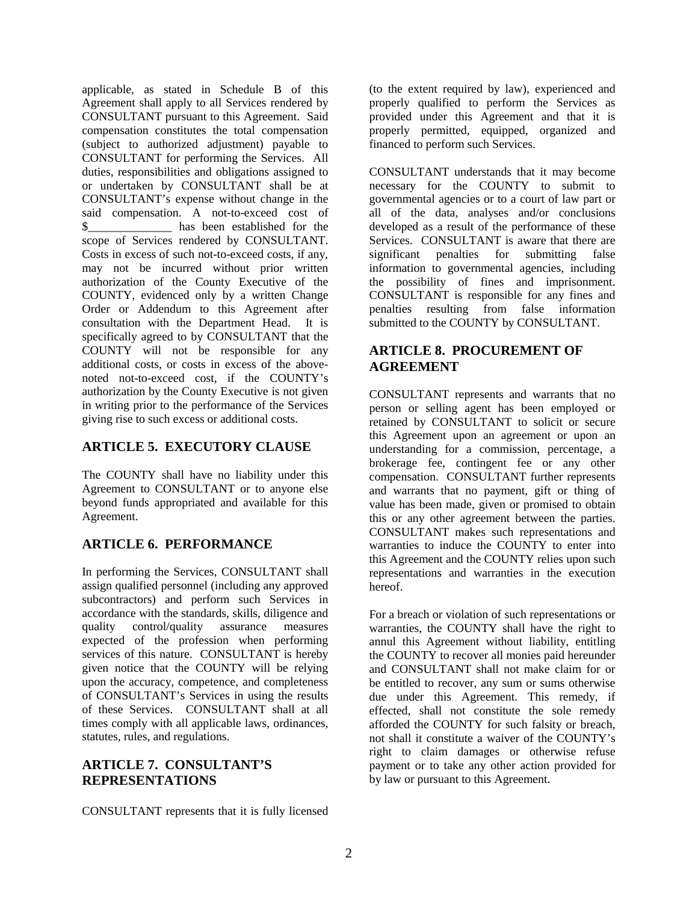applicable, as stated in Schedule B of this Agreement shall apply to all Services rendered by CONSULTANT pursuant to this Agreement. Said compensation constitutes the total compensation (subject to authorized adjustment) payable to CONSULTANT for performing the Services. All duties, responsibilities and obligations assigned to or undertaken by CONSULTANT shall be at CONSULTANT's expense without change in the said compensation. A not-to-exceed cost of \$\_\_\_\_\_\_\_\_\_\_\_\_\_\_ has been established for the scope of Services rendered by CONSULTANT. Costs in excess of such not-to-exceed costs, if any, may not be incurred without prior written authorization of the County Executive of the COUNTY, evidenced only by a written Change Order or Addendum to this Agreement after consultation with the Department Head. It is specifically agreed to by CONSULTANT that the COUNTY will not be responsible for any additional costs, or costs in excess of the abovenoted not-to-exceed cost, if the COUNTY's authorization by the County Executive is not given in writing prior to the performance of the Services giving rise to such excess or additional costs.

# **ARTICLE 5. EXECUTORY CLAUSE**

The COUNTY shall have no liability under this Agreement to CONSULTANT or to anyone else beyond funds appropriated and available for this Agreement.

# **ARTICLE 6. PERFORMANCE**

In performing the Services, CONSULTANT shall assign qualified personnel (including any approved subcontractors) and perform such Services in accordance with the standards, skills, diligence and quality control/quality assurance measures expected of the profession when performing services of this nature. CONSULTANT is hereby given notice that the COUNTY will be relying upon the accuracy, competence, and completeness of CONSULTANT's Services in using the results of these Services. CONSULTANT shall at all times comply with all applicable laws, ordinances, statutes, rules, and regulations.

# **ARTICLE 7. CONSULTANT'S REPRESENTATIONS**

CONSULTANT represents that it is fully licensed

(to the extent required by law), experienced and properly qualified to perform the Services as provided under this Agreement and that it is properly permitted, equipped, organized and financed to perform such Services.

CONSULTANT understands that it may become necessary for the COUNTY to submit to governmental agencies or to a court of law part or all of the data, analyses and/or conclusions developed as a result of the performance of these Services. CONSULTANT is aware that there are significant penalties for submitting false information to governmental agencies, including the possibility of fines and imprisonment. CONSULTANT is responsible for any fines and penalties resulting from false information submitted to the COUNTY by CONSULTANT.

# **ARTICLE 8. PROCUREMENT OF AGREEMENT**

CONSULTANT represents and warrants that no person or selling agent has been employed or retained by CONSULTANT to solicit or secure this Agreement upon an agreement or upon an understanding for a commission, percentage, a brokerage fee, contingent fee or any other compensation. CONSULTANT further represents and warrants that no payment, gift or thing of value has been made, given or promised to obtain this or any other agreement between the parties. CONSULTANT makes such representations and warranties to induce the COUNTY to enter into this Agreement and the COUNTY relies upon such representations and warranties in the execution hereof.

For a breach or violation of such representations or warranties, the COUNTY shall have the right to annul this Agreement without liability, entitling the COUNTY to recover all monies paid hereunder and CONSULTANT shall not make claim for or be entitled to recover, any sum or sums otherwise due under this Agreement. This remedy, if effected, shall not constitute the sole remedy afforded the COUNTY for such falsity or breach, not shall it constitute a waiver of the COUNTY's right to claim damages or otherwise refuse payment or to take any other action provided for by law or pursuant to this Agreement.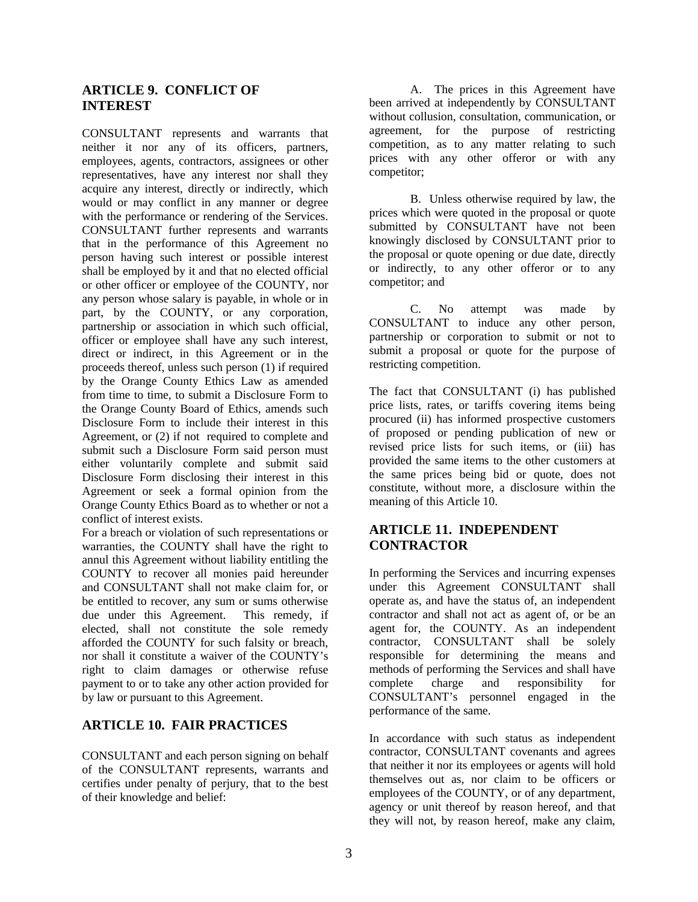# **ARTICLE 9. CONFLICT OF INTEREST**

CONSULTANT represents and warrants that neither it nor any of its officers, partners, employees, agents, contractors, assignees or other representatives, have any interest nor shall they acquire any interest, directly or indirectly, which would or may conflict in any manner or degree with the performance or rendering of the Services. CONSULTANT further represents and warrants that in the performance of this Agreement no person having such interest or possible interest shall be employed by it and that no elected official or other officer or employee of the COUNTY, nor any person whose salary is payable, in whole or in part, by the COUNTY, or any corporation, partnership or association in which such official, officer or employee shall have any such interest, direct or indirect, in this Agreement or in the proceeds thereof, unless such person (1) if required by the Orange County Ethics Law as amended from time to time, to submit a Disclosure Form to the Orange County Board of Ethics, amends such Disclosure Form to include their interest in this Agreement, or (2) if not required to complete and submit such a Disclosure Form said person must either voluntarily complete and submit said Disclosure Form disclosing their interest in this Agreement or seek a formal opinion from the Orange County Ethics Board as to whether or not a conflict of interest exists.

For a breach or violation of such representations or warranties, the COUNTY shall have the right to annul this Agreement without liability entitling the COUNTY to recover all monies paid hereunder and CONSULTANT shall not make claim for, or be entitled to recover, any sum or sums otherwise due under this Agreement. This remedy, if elected, shall not constitute the sole remedy afforded the COUNTY for such falsity or breach, nor shall it constitute a waiver of the COUNTY's right to claim damages or otherwise refuse payment to or to take any other action provided for by law or pursuant to this Agreement.

# **ARTICLE 10. FAIR PRACTICES**

CONSULTANT and each person signing on behalf of the CONSULTANT represents, warrants and certifies under penalty of perjury, that to the best of their knowledge and belief:

A. The prices in this Agreement have been arrived at independently by CONSULTANT without collusion, consultation, communication, or agreement, for the purpose of restricting competition, as to any matter relating to such prices with any other offeror or with any competitor;

B. Unless otherwise required by law, the prices which were quoted in the proposal or quote submitted by CONSULTANT have not been knowingly disclosed by CONSULTANT prior to the proposal or quote opening or due date, directly or indirectly, to any other offeror or to any competitor; and

C. No attempt was made by CONSULTANT to induce any other person, partnership or corporation to submit or not to submit a proposal or quote for the purpose of restricting competition.

The fact that CONSULTANT (i) has published price lists, rates, or tariffs covering items being procured (ii) has informed prospective customers of proposed or pending publication of new or revised price lists for such items, or (iii) has provided the same items to the other customers at the same prices being bid or quote, does not constitute, without more, a disclosure within the meaning of this Article 10.

# **ARTICLE 11. INDEPENDENT CONTRACTOR**

In performing the Services and incurring expenses under this Agreement CONSULTANT shall operate as, and have the status of, an independent contractor and shall not act as agent of, or be an agent for, the COUNTY. As an independent contractor, CONSULTANT shall be solely responsible for determining the means and methods of performing the Services and shall have complete charge and responsibility for CONSULTANT's personnel engaged in the performance of the same.

In accordance with such status as independent contractor, CONSULTANT covenants and agrees that neither it nor its employees or agents will hold themselves out as, nor claim to be officers or employees of the COUNTY, or of any department, agency or unit thereof by reason hereof, and that they will not, by reason hereof, make any claim,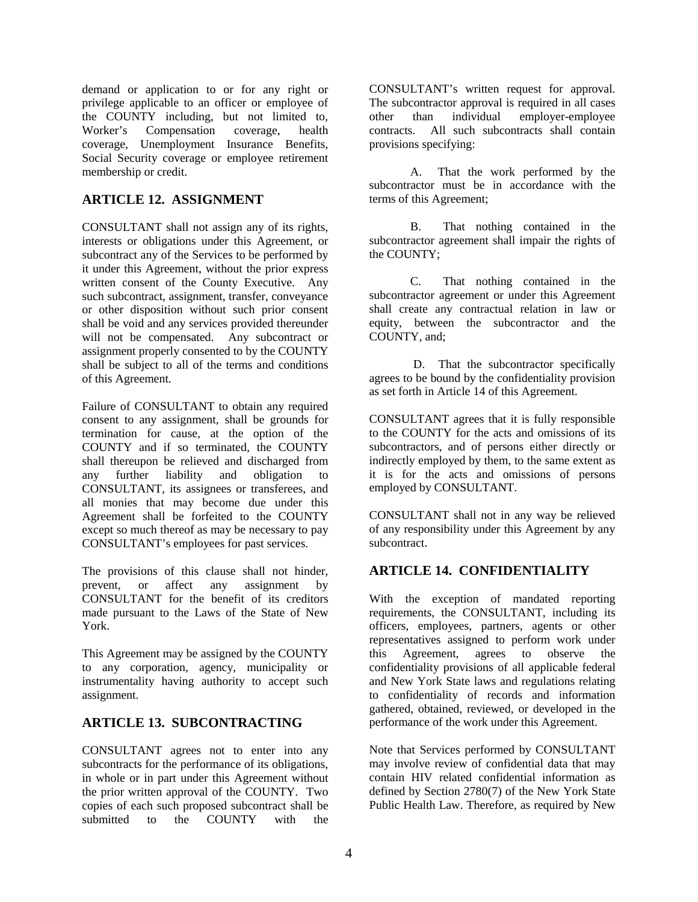demand or application to or for any right or privilege applicable to an officer or employee of the COUNTY including, but not limited to,<br>Worker's Compensation coverage, health Compensation coverage, health coverage, Unemployment Insurance Benefits, Social Security coverage or employee retirement membership or credit.

# **ARTICLE 12. ASSIGNMENT**

CONSULTANT shall not assign any of its rights, interests or obligations under this Agreement, or subcontract any of the Services to be performed by it under this Agreement, without the prior express written consent of the County Executive. Any such subcontract, assignment, transfer, conveyance or other disposition without such prior consent shall be void and any services provided thereunder will not be compensated. Any subcontract or assignment properly consented to by the COUNTY shall be subject to all of the terms and conditions of this Agreement.

Failure of CONSULTANT to obtain any required consent to any assignment, shall be grounds for termination for cause, at the option of the COUNTY and if so terminated, the COUNTY shall thereupon be relieved and discharged from any further liability and obligation to CONSULTANT, its assignees or transferees, and all monies that may become due under this Agreement shall be forfeited to the COUNTY except so much thereof as may be necessary to pay CONSULTANT's employees for past services.

The provisions of this clause shall not hinder,<br>prevent or affect any assignment by prevent, or affect any assignment CONSULTANT for the benefit of its creditors made pursuant to the Laws of the State of New York.

This Agreement may be assigned by the COUNTY to any corporation, agency, municipality or instrumentality having authority to accept such assignment.

#### **ARTICLE 13. SUBCONTRACTING**

CONSULTANT agrees not to enter into any subcontracts for the performance of its obligations, in whole or in part under this Agreement without the prior written approval of the COUNTY. Two copies of each such proposed subcontract shall be submitted to the COUNTY with the

CONSULTANT's written request for approval. The subcontractor approval is required in all cases<br>other than individual employer-employee other than individual employer-employee contracts. All such subcontracts shall contain provisions specifying:

A. That the work performed by the subcontractor must be in accordance with the terms of this Agreement;

B. That nothing contained in the subcontractor agreement shall impair the rights of the COUNTY;

C. That nothing contained in the subcontractor agreement or under this Agreement shall create any contractual relation in law or equity, between the subcontractor and the COUNTY, and;

D. That the subcontractor specifically agrees to be bound by the confidentiality provision as set forth in Article 14 of this Agreement.

CONSULTANT agrees that it is fully responsible to the COUNTY for the acts and omissions of its subcontractors, and of persons either directly or indirectly employed by them, to the same extent as it is for the acts and omissions of persons employed by CONSULTANT.

CONSULTANT shall not in any way be relieved of any responsibility under this Agreement by any subcontract.

# **ARTICLE 14. CONFIDENTIALITY**

With the exception of mandated reporting requirements, the CONSULTANT, including its officers, employees, partners, agents or other representatives assigned to perform work under<br>this Agreement, agrees to observe the this Agreement, agrees to observe the confidentiality provisions of all applicable federal and New York State laws and regulations relating to confidentiality of records and information gathered, obtained, reviewed, or developed in the performance of the work under this Agreement.

Note that Services performed by CONSULTANT may involve review of confidential data that may contain HIV related confidential information as defined by Section 2780(7) of the New York State Public Health Law. Therefore, as required by New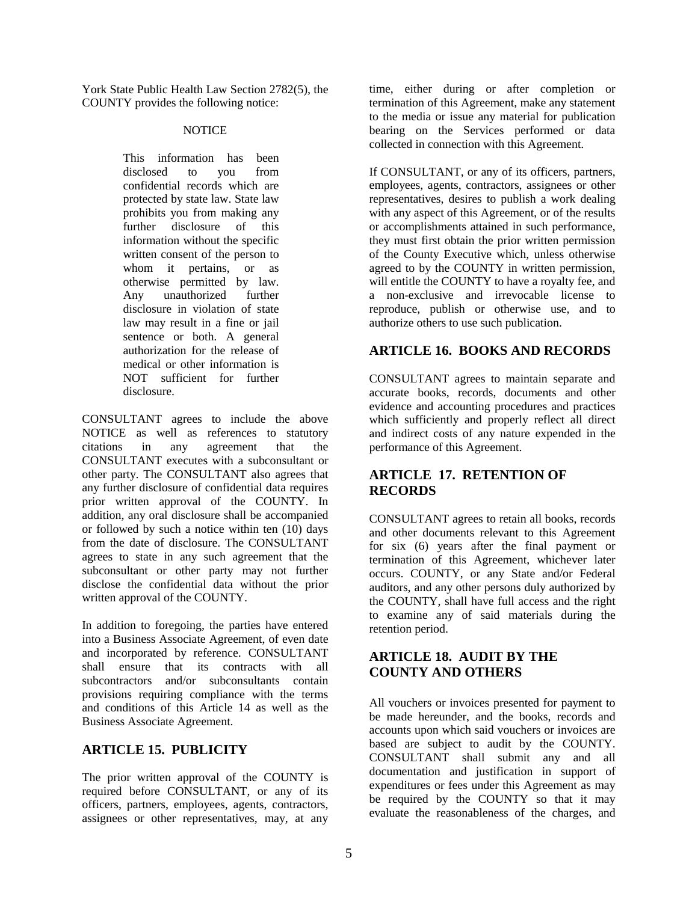York State Public Health Law Section 2782(5), the COUNTY provides the following notice:

#### **NOTICE**

This information has been disclosed to you from confidential records which are protected by state law. State law prohibits you from making any further disclosure of this information without the specific written consent of the person to whom it pertains, or as otherwise permitted by law. Any unauthorized further disclosure in violation of state law may result in a fine or jail sentence or both. A general authorization for the release of medical or other information is NOT sufficient for further disclosure.

CONSULTANT agrees to include the above NOTICE as well as references to statutory citations in any agreement that the CONSULTANT executes with a subconsultant or other party. The CONSULTANT also agrees that any further disclosure of confidential data requires prior written approval of the COUNTY. In addition, any oral disclosure shall be accompanied or followed by such a notice within ten (10) days from the date of disclosure. The CONSULTANT agrees to state in any such agreement that the subconsultant or other party may not further disclose the confidential data without the prior written approval of the COUNTY.

In addition to foregoing, the parties have entered into a Business Associate Agreement, of even date and incorporated by reference. CONSULTANT shall ensure that its contracts with all subcontractors and/or subconsultants contain provisions requiring compliance with the terms and conditions of this Article 14 as well as the Business Associate Agreement.

# **ARTICLE 15. PUBLICITY**

The prior written approval of the COUNTY is required before CONSULTANT, or any of its officers, partners, employees, agents, contractors, assignees or other representatives, may, at any

time, either during or after completion or termination of this Agreement, make any statement to the media or issue any material for publication bearing on the Services performed or data collected in connection with this Agreement.

If CONSULTANT, or any of its officers, partners, employees, agents, contractors, assignees or other representatives, desires to publish a work dealing with any aspect of this Agreement, or of the results or accomplishments attained in such performance, they must first obtain the prior written permission of the County Executive which, unless otherwise agreed to by the COUNTY in written permission, will entitle the COUNTY to have a royalty fee, and a non-exclusive and irrevocable license to reproduce, publish or otherwise use, and to authorize others to use such publication.

# **ARTICLE 16. BOOKS AND RECORDS**

CONSULTANT agrees to maintain separate and accurate books, records, documents and other evidence and accounting procedures and practices which sufficiently and properly reflect all direct and indirect costs of any nature expended in the performance of this Agreement.

# **ARTICLE 17. RETENTION OF RECORDS**

CONSULTANT agrees to retain all books, records and other documents relevant to this Agreement for six (6) years after the final payment or termination of this Agreement, whichever later occurs. COUNTY, or any State and/or Federal auditors, and any other persons duly authorized by the COUNTY, shall have full access and the right to examine any of said materials during the retention period.

# **ARTICLE 18. AUDIT BY THE COUNTY AND OTHERS**

All vouchers or invoices presented for payment to be made hereunder, and the books, records and accounts upon which said vouchers or invoices are based are subject to audit by the COUNTY. CONSULTANT shall submit any and all documentation and justification in support of expenditures or fees under this Agreement as may be required by the COUNTY so that it may evaluate the reasonableness of the charges, and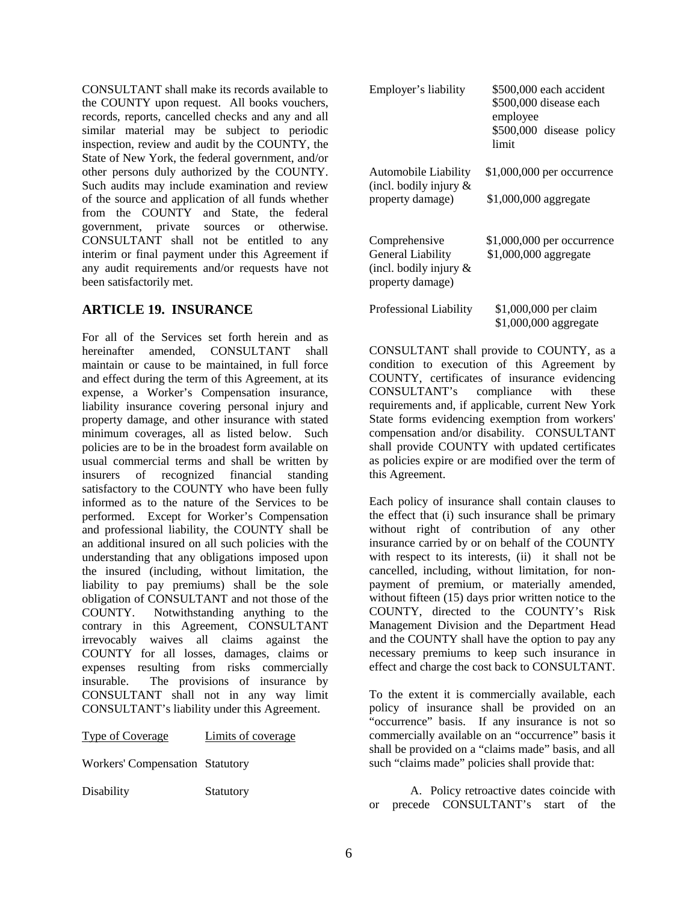CONSULTANT shall make its records available to the COUNTY upon request. All books vouchers, records, reports, cancelled checks and any and all similar material may be subject to periodic inspection, review and audit by the COUNTY, the State of New York, the federal government, and/or other persons duly authorized by the COUNTY. Such audits may include examination and review of the source and application of all funds whether from the COUNTY and State, the federal government, private sources or otherwise. CONSULTANT shall not be entitled to any interim or final payment under this Agreement if any audit requirements and/or requests have not been satisfactorily met.

# **ARTICLE 19. INSURANCE**

For all of the Services set forth herein and as hereinafter amended, CONSULTANT shall maintain or cause to be maintained, in full force and effect during the term of this Agreement, at its expense, a Worker's Compensation insurance, liability insurance covering personal injury and property damage, and other insurance with stated minimum coverages, all as listed below. Such policies are to be in the broadest form available on usual commercial terms and shall be written by insurers of recognized financial standing satisfactory to the COUNTY who have been fully informed as to the nature of the Services to be performed. Except for Worker's Compensation and professional liability, the COUNTY shall be an additional insured on all such policies with the understanding that any obligations imposed upon the insured (including, without limitation, the liability to pay premiums) shall be the sole obligation of CONSULTANT and not those of the COUNTY. Notwithstanding anything to the contrary in this Agreement, CONSULTANT irrevocably waives all claims against the COUNTY for all losses, damages, claims or expenses resulting from risks commercially insurable. The provisions of insurance by CONSULTANT shall not in any way limit CONSULTANT's liability under this Agreement.

#### Type of Coverage Limits of coverage

Workers' Compensation Statutory

Disability Statutory

Employer's liability \$500,000 each accident \$500,000 disease each employee \$500,000 disease policy limit Automobile Liability \$1,000,000 per occurrence (incl. bodily injury & property damage) \$1,000,000 aggregate Comprehensive \$1,000,000 per occurrence<br>General Liability \$1,000,000 aggregate  $$1,000,000$  aggregate (incl. bodily injury & property damage) Professional Liability \$1,000,000 per claim \$1,000,000 aggregate

CONSULTANT shall provide to COUNTY, as a condition to execution of this Agreement by COUNTY, certificates of insurance evidencing CONSULTANT's compliance with these requirements and, if applicable, current New York State forms evidencing exemption from workers' compensation and/or disability. CONSULTANT shall provide COUNTY with updated certificates as policies expire or are modified over the term of this Agreement.

Each policy of insurance shall contain clauses to the effect that (i) such insurance shall be primary without right of contribution of any other insurance carried by or on behalf of the COUNTY with respect to its interests, (ii) it shall not be cancelled, including, without limitation, for nonpayment of premium, or materially amended, without fifteen (15) days prior written notice to the COUNTY, directed to the COUNTY's Risk Management Division and the Department Head and the COUNTY shall have the option to pay any necessary premiums to keep such insurance in effect and charge the cost back to CONSULTANT.

To the extent it is commercially available, each policy of insurance shall be provided on an "occurrence" basis. If any insurance is not so commercially available on an "occurrence" basis it shall be provided on a "claims made" basis, and all such "claims made" policies shall provide that:

A. Policy retroactive dates coincide with or precede CONSULTANT's start of the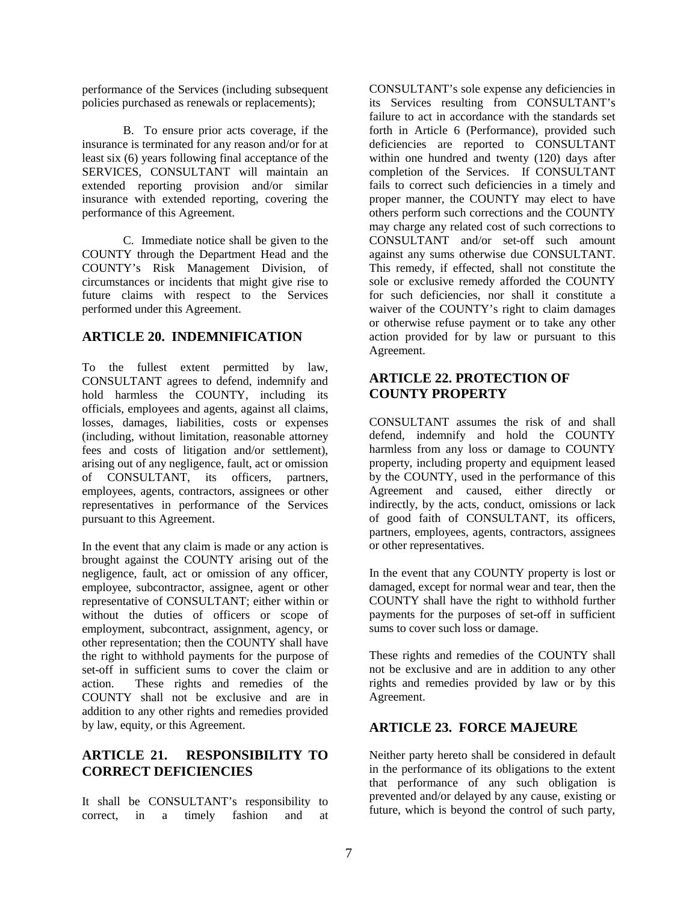performance of the Services (including subsequent policies purchased as renewals or replacements);

B. To ensure prior acts coverage, if the insurance is terminated for any reason and/or for at least six (6) years following final acceptance of the SERVICES, CONSULTANT will maintain an extended reporting provision and/or similar insurance with extended reporting, covering the performance of this Agreement.

C. Immediate notice shall be given to the COUNTY through the Department Head and the COUNTY's Risk Management Division, of circumstances or incidents that might give rise to future claims with respect to the Services performed under this Agreement.

# **ARTICLE 20. INDEMNIFICATION**

To the fullest extent permitted by law, CONSULTANT agrees to defend, indemnify and hold harmless the COUNTY, including its officials, employees and agents, against all claims, losses, damages, liabilities, costs or expenses (including, without limitation, reasonable attorney fees and costs of litigation and/or settlement), arising out of any negligence, fault, act or omission of CONSULTANT, its officers, partners, employees, agents, contractors, assignees or other representatives in performance of the Services pursuant to this Agreement.

In the event that any claim is made or any action is brought against the COUNTY arising out of the negligence, fault, act or omission of any officer, employee, subcontractor, assignee, agent or other representative of CONSULTANT; either within or without the duties of officers or scope of employment, subcontract, assignment, agency, or other representation; then the COUNTY shall have the right to withhold payments for the purpose of set-off in sufficient sums to cover the claim or action. These rights and remedies of the COUNTY shall not be exclusive and are in addition to any other rights and remedies provided by law, equity, or this Agreement.

# **ARTICLE 21. RESPONSIBILITY TO CORRECT DEFICIENCIES**

It shall be CONSULTANT's responsibility to correct, in a timely fashion and at CONSULTANT's sole expense any deficiencies in its Services resulting from CONSULTANT's failure to act in accordance with the standards set forth in Article 6 (Performance), provided such deficiencies are reported to CONSULTANT within one hundred and twenty (120) days after completion of the Services. If CONSULTANT fails to correct such deficiencies in a timely and proper manner, the COUNTY may elect to have others perform such corrections and the COUNTY may charge any related cost of such corrections to CONSULTANT and/or set-off such amount against any sums otherwise due CONSULTANT. This remedy, if effected, shall not constitute the sole or exclusive remedy afforded the COUNTY for such deficiencies, nor shall it constitute a waiver of the COUNTY's right to claim damages or otherwise refuse payment or to take any other action provided for by law or pursuant to this Agreement.

# **ARTICLE 22. PROTECTION OF COUNTY PROPERTY**

CONSULTANT assumes the risk of and shall defend, indemnify and hold the COUNTY harmless from any loss or damage to COUNTY property, including property and equipment leased by the COUNTY, used in the performance of this Agreement and caused, either directly or indirectly, by the acts, conduct, omissions or lack of good faith of CONSULTANT, its officers, partners, employees, agents, contractors, assignees or other representatives.

In the event that any COUNTY property is lost or damaged, except for normal wear and tear, then the COUNTY shall have the right to withhold further payments for the purposes of set-off in sufficient sums to cover such loss or damage.

These rights and remedies of the COUNTY shall not be exclusive and are in addition to any other rights and remedies provided by law or by this Agreement.

# **ARTICLE 23. FORCE MAJEURE**

Neither party hereto shall be considered in default in the performance of its obligations to the extent that performance of any such obligation is prevented and/or delayed by any cause, existing or future, which is beyond the control of such party,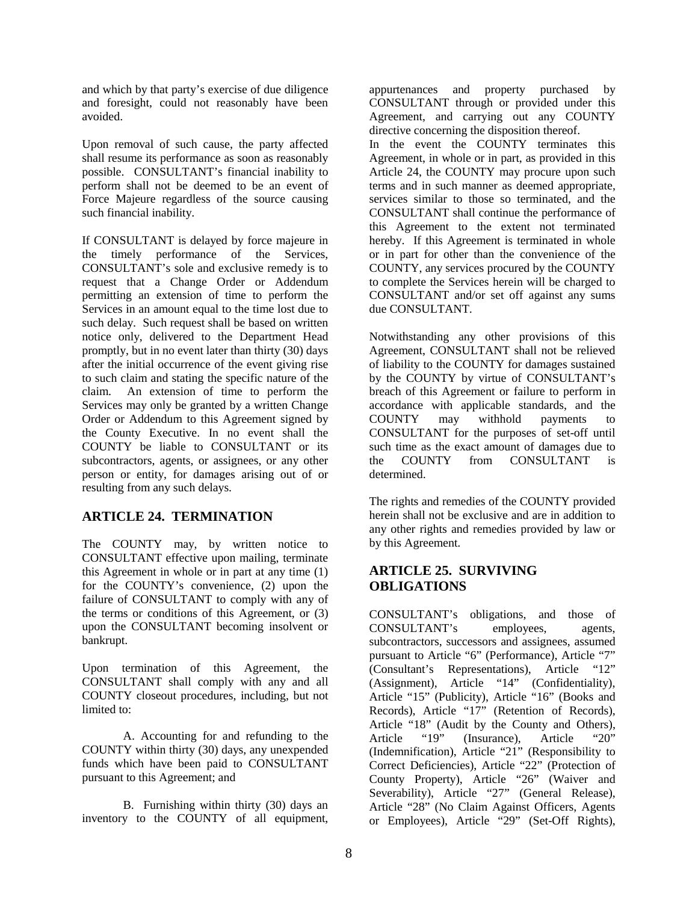and which by that party's exercise of due diligence and foresight, could not reasonably have been avoided.

Upon removal of such cause, the party affected shall resume its performance as soon as reasonably possible. CONSULTANT's financial inability to perform shall not be deemed to be an event of Force Majeure regardless of the source causing such financial inability.

If CONSULTANT is delayed by force majeure in the timely performance of the Services, CONSULTANT's sole and exclusive remedy is to request that a Change Order or Addendum permitting an extension of time to perform the Services in an amount equal to the time lost due to such delay. Such request shall be based on written notice only, delivered to the Department Head promptly, but in no event later than thirty (30) days after the initial occurrence of the event giving rise to such claim and stating the specific nature of the claim. An extension of time to perform the Services may only be granted by a written Change Order or Addendum to this Agreement signed by the County Executive. In no event shall the COUNTY be liable to CONSULTANT or its subcontractors, agents, or assignees, or any other person or entity, for damages arising out of or resulting from any such delays.

# **ARTICLE 24. TERMINATION**

The COUNTY may, by written notice to CONSULTANT effective upon mailing, terminate this Agreement in whole or in part at any time (1) for the COUNTY's convenience, (2) upon the failure of CONSULTANT to comply with any of the terms or conditions of this Agreement, or (3) upon the CONSULTANT becoming insolvent or bankrupt.

Upon termination of this Agreement, the CONSULTANT shall comply with any and all COUNTY closeout procedures, including, but not limited to:

A. Accounting for and refunding to the COUNTY within thirty (30) days, any unexpended funds which have been paid to CONSULTANT pursuant to this Agreement; and

B. Furnishing within thirty (30) days an inventory to the COUNTY of all equipment,

appurtenances and property purchased by CONSULTANT through or provided under this Agreement, and carrying out any COUNTY directive concerning the disposition thereof.

In the event the COUNTY terminates this Agreement, in whole or in part, as provided in this Article 24, the COUNTY may procure upon such terms and in such manner as deemed appropriate, services similar to those so terminated, and the CONSULTANT shall continue the performance of this Agreement to the extent not terminated hereby. If this Agreement is terminated in whole or in part for other than the convenience of the COUNTY, any services procured by the COUNTY to complete the Services herein will be charged to CONSULTANT and/or set off against any sums due CONSULTANT.

Notwithstanding any other provisions of this Agreement, CONSULTANT shall not be relieved of liability to the COUNTY for damages sustained by the COUNTY by virtue of CONSULTANT's breach of this Agreement or failure to perform in accordance with applicable standards, and the COUNTY may withhold payments to CONSULTANT for the purposes of set-off until such time as the exact amount of damages due to the COUNTY from CONSULTANT is determined.

The rights and remedies of the COUNTY provided herein shall not be exclusive and are in addition to any other rights and remedies provided by law or by this Agreement.

# **ARTICLE 25. SURVIVING OBLIGATIONS**

CONSULTANT's obligations, and those of CONSULTANT's employees, agents, subcontractors, successors and assignees, assumed pursuant to Article "6" (Performance), Article "7" (Consultant's Representations), Article "12" (Assignment), Article "14" (Confidentiality), Article "15" (Publicity), Article "16" (Books and Records), Article "17" (Retention of Records), Article "18" (Audit by the County and Others), Article "19" (Insurance), Article "20" (Indemnification), Article "21" (Responsibility to Correct Deficiencies), Article "22" (Protection of County Property), Article "26" (Waiver and Severability), Article "27" (General Release), Article "28" (No Claim Against Officers, Agents or Employees), Article "29" (Set-Off Rights),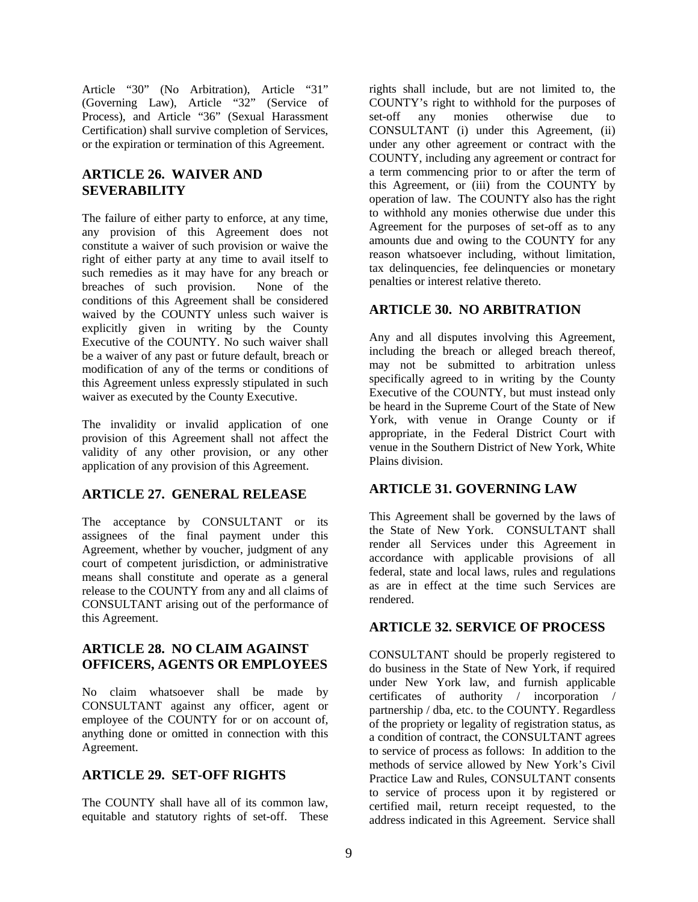Article "30" (No Arbitration), Article "31" (Governing Law), Article "32" (Service of Process), and Article "36" (Sexual Harassment Certification) shall survive completion of Services, or the expiration or termination of this Agreement.

# **ARTICLE 26. WAIVER AND SEVERABILITY**

The failure of either party to enforce, at any time, any provision of this Agreement does not constitute a waiver of such provision or waive the right of either party at any time to avail itself to such remedies as it may have for any breach or breaches of such provision. None of the conditions of this Agreement shall be considered waived by the COUNTY unless such waiver is explicitly given in writing by the County Executive of the COUNTY. No such waiver shall be a waiver of any past or future default, breach or modification of any of the terms or conditions of this Agreement unless expressly stipulated in such waiver as executed by the County Executive.

The invalidity or invalid application of one provision of this Agreement shall not affect the validity of any other provision, or any other application of any provision of this Agreement.

# **ARTICLE 27. GENERAL RELEASE**

The acceptance by CONSULTANT or its assignees of the final payment under this Agreement, whether by voucher, judgment of any court of competent jurisdiction, or administrative means shall constitute and operate as a general release to the COUNTY from any and all claims of CONSULTANT arising out of the performance of this Agreement.

# **ARTICLE 28. NO CLAIM AGAINST OFFICERS, AGENTS OR EMPLOYEES**

No claim whatsoever shall be made by CONSULTANT against any officer, agent or employee of the COUNTY for or on account of, anything done or omitted in connection with this Agreement.

# **ARTICLE 29. SET-OFF RIGHTS**

The COUNTY shall have all of its common law, equitable and statutory rights of set-off. These

rights shall include, but are not limited to, the COUNTY's right to withhold for the purposes of set-off any monies otherwise due to CONSULTANT (i) under this Agreement, (ii) under any other agreement or contract with the COUNTY, including any agreement or contract for a term commencing prior to or after the term of this Agreement, or (iii) from the COUNTY by operation of law. The COUNTY also has the right to withhold any monies otherwise due under this Agreement for the purposes of set-off as to any amounts due and owing to the COUNTY for any reason whatsoever including, without limitation, tax delinquencies, fee delinquencies or monetary penalties or interest relative thereto.

# **ARTICLE 30. NO ARBITRATION**

Any and all disputes involving this Agreement, including the breach or alleged breach thereof, may not be submitted to arbitration unless specifically agreed to in writing by the County Executive of the COUNTY, but must instead only be heard in the Supreme Court of the State of New York, with venue in Orange County or if appropriate, in the Federal District Court with venue in the Southern District of New York, White Plains division.

# **ARTICLE 31. GOVERNING LAW**

This Agreement shall be governed by the laws of the State of New York. CONSULTANT shall render all Services under this Agreement in accordance with applicable provisions of all federal, state and local laws, rules and regulations as are in effect at the time such Services are rendered.

# **ARTICLE 32. SERVICE OF PROCESS**

CONSULTANT should be properly registered to do business in the State of New York, if required under New York law, and furnish applicable certificates of authority / incorporation / partnership / dba, etc. to the COUNTY. Regardless of the propriety or legality of registration status, as a condition of contract, the CONSULTANT agrees to service of process as follows: In addition to the methods of service allowed by New York's Civil Practice Law and Rules, CONSULTANT consents to service of process upon it by registered or certified mail, return receipt requested, to the address indicated in this Agreement. Service shall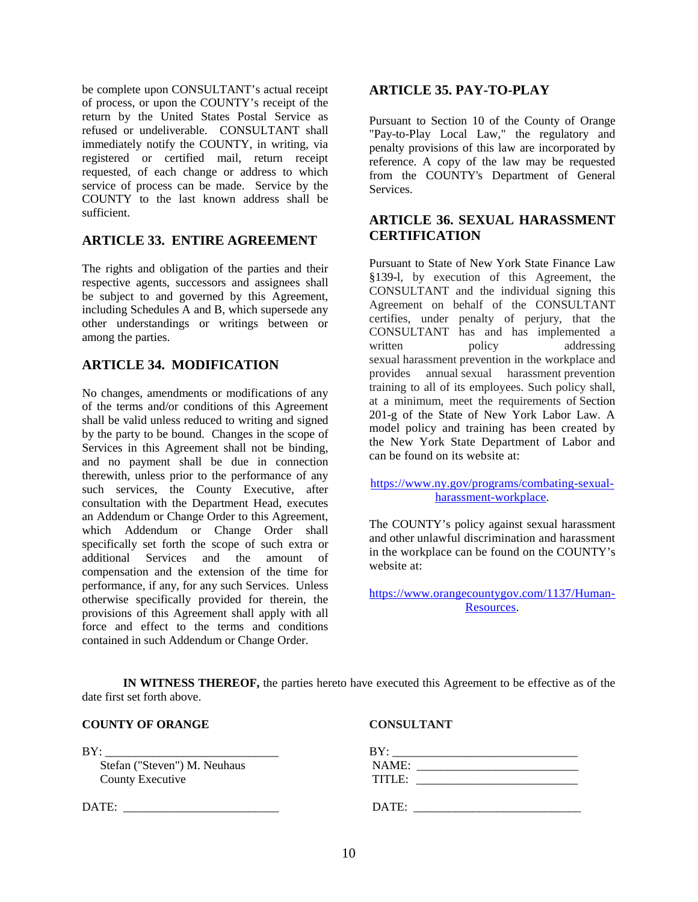be complete upon CONSULTANT's actual receipt of process, or upon the COUNTY's receipt of the return by the United States Postal Service as refused or undeliverable. CONSULTANT shall immediately notify the COUNTY, in writing, via registered or certified mail, return receipt requested, of each change or address to which service of process can be made. Service by the COUNTY to the last known address shall be sufficient.

# **ARTICLE 33. ENTIRE AGREEMENT**

The rights and obligation of the parties and their respective agents, successors and assignees shall be subject to and governed by this Agreement, including Schedules A and B, which supersede any other understandings or writings between or among the parties.

# **ARTICLE 34. MODIFICATION**

No changes, amendments or modifications of any of the terms and/or conditions of this Agreement shall be valid unless reduced to writing and signed by the party to be bound. Changes in the scope of Services in this Agreement shall not be binding, and no payment shall be due in connection therewith, unless prior to the performance of any such services, the County Executive, after consultation with the Department Head, executes an Addendum or Change Order to this Agreement, which Addendum or Change Order shall specifically set forth the scope of such extra or additional Services and the amount of compensation and the extension of the time for performance, if any, for any such Services. Unless otherwise specifically provided for therein, the provisions of this Agreement shall apply with all force and effect to the terms and conditions contained in such Addendum or Change Order.

#### **ARTICLE 35. PAY-TO-PLAY**

Pursuant to Section 10 of the County of Orange "Pay-to-Play Local Law," the regulatory and penalty provisions of this law are incorporated by reference. A copy of the law may be requested from the COUNTY's Department of General Services.

# **ARTICLE 36. SEXUAL HARASSMENT CERTIFICATION**

Pursuant to State of New York State Finance Law §139-l, by execution of this Agreement, the CONSULTANT and the individual signing this Agreement on behalf of the CONSULTANT certifies, under penalty of perjury, that the CONSULTANT has and has implemented a written policy addressing sexual harassment prevention in the workplace and provides annual sexual harassment prevention training to all of its employees. Such policy shall, at a minimum, meet the requirements of Section 201-g of the State of New York Labor Law. A model policy and training has been created by the New York State Department of Labor and can be found on its website at:

[https://www.ny.gov/programs/combating-sexual](https://www.ny.gov/programs/combating-sexual-harassment-workplace)[harassment-workplace.](https://www.ny.gov/programs/combating-sexual-harassment-workplace)

The COUNTY's policy against sexual harassment and other unlawful discrimination and harassment in the workplace can be found on the COUNTY's website at:

[https://www.orangecountygov.com/1137/Human-](https://www.orangecountygov.com/1137/Human-Resources)[Resources.](https://www.orangecountygov.com/1137/Human-Resources)

**IN WITNESS THEREOF,** the parties hereto have executed this Agreement to be effective as of the date first set forth above.

| <b>COUNTY OF ORANGE</b> | <b>CONSULTANT</b> |
|-------------------------|-------------------|
|                         |                   |

| BY:                          | BY:    |  |
|------------------------------|--------|--|
| Stefan ("Steven") M. Neuhaus | NAME:  |  |
| <b>County Executive</b>      | TITLE: |  |
| DATE:                        | DATE:  |  |
|                              |        |  |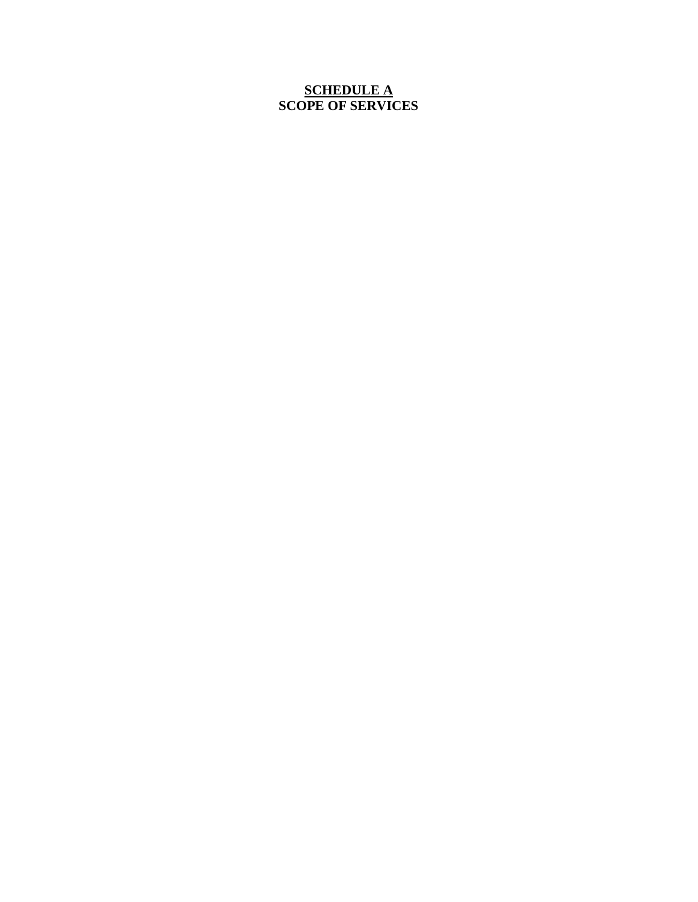# **SCHEDULE A SCOPE OF SERVICES**